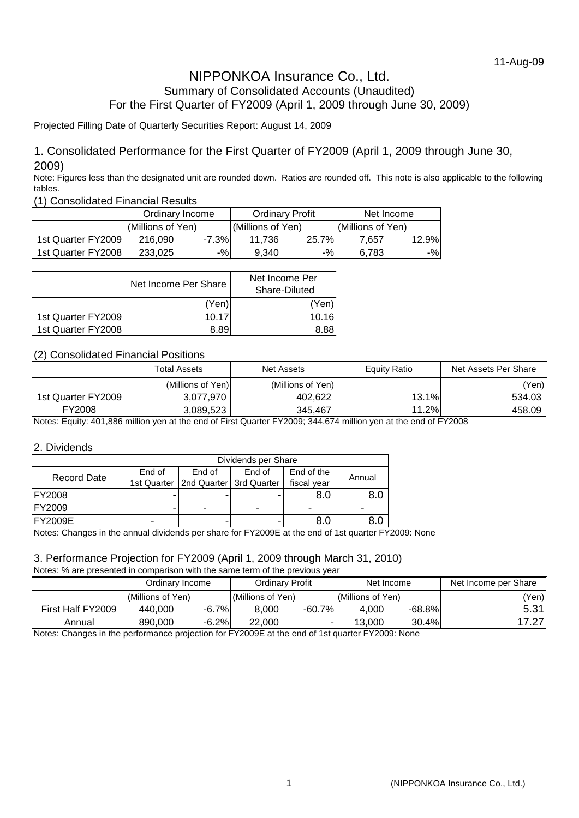# NIPPONKOA Insurance Co., Ltd. Summary of Consolidated Accounts (Unaudited) For the First Quarter of FY2009 (April 1, 2009 through June 30, 2009)

# Projected Filling Date of Quarterly Securities Report: August 14, 2009

# 1. Consolidated Performance for the First Quarter of FY2009 (April 1, 2009 through June 30, 2009)

Note: Figures less than the designated unit are rounded down. Ratios are rounded off. This note is also applicable to the following tables.

(1) Consolidated Financial Results

|                    | Ordinary Income   |          | <b>Ordinary Profit</b> |       | Net Income        |       |
|--------------------|-------------------|----------|------------------------|-------|-------------------|-------|
|                    | (Millions of Yen) |          | (Millions of Yen)      |       | (Millions of Yen) |       |
| 1st Quarter FY2009 | 216,090           | $-7.3\%$ | 11.736                 | 25.7% | 7.657             | 12.9% |
| 1st Quarter FY2008 | 233,025           | $-$ %    | 9.340                  | $-$ % | 6.783             | $-$ % |

|                    | Net Income Per Share | Net Income Per<br>Share-Diluted |  |
|--------------------|----------------------|---------------------------------|--|
|                    | (Yen)                | (Yen)                           |  |
| 1st Quarter FY2009 | 10.17                | 10.16                           |  |
| 1st Quarter FY2008 | 8.89                 | 8.88                            |  |

# (2) Consolidated Financial Positions

|                    | <b>Total Assets</b> | <b>Net Assets</b> | Equity Ratio | Net Assets Per Share |
|--------------------|---------------------|-------------------|--------------|----------------------|
|                    | (Millions of Yen)   | (Millions of Yen) |              | (Yen)                |
| 1st Quarter FY2009 | 3,077,970           | 402,622           | 13.1%        | 534.03               |
| FY2008             | 3.089.523           | 345.467           | 11.2%        | 458.09               |

Notes: Equity: 401,886 million yen at the end of First Quarter FY2009; 344,674 million yen at the end of FY2008

#### 2. Dividends

|                    | Dividends per Share |                         |        |             |        |  |
|--------------------|---------------------|-------------------------|--------|-------------|--------|--|
| <b>Record Date</b> | End of              | End of                  | End of | End of the  | Annual |  |
|                    | 1st Quarter         | 2nd Quarter 3rd Quarter |        | fiscal year |        |  |
| <b>IFY2008</b>     |                     |                         |        | 8.0         | 8.0    |  |
| FY2009             |                     | ۰                       | -      |             | -      |  |
| <b>FY2009E</b>     | -                   |                         |        | 8.C         |        |  |

Notes: Changes in the annual dividends per share for FY2009E at the end of 1st quarter FY2009: None

# 3. Performance Projection for FY2009 (April 1, 2009 through March 31, 2010)

Notes: % are presented in comparison with the same term of the previous year

|                   | Ordinary Income  |         | Ordinary Profit   |           | Net Income        |           | Net Income per Share |
|-------------------|------------------|---------|-------------------|-----------|-------------------|-----------|----------------------|
|                   | Millions of Yen) |         | (Millions of Yen) |           | (Millions of Yen) |           | 'Yen)                |
| First Half FY2009 | 440,000          | $-6.7%$ | 8.000             | $-60.7\%$ | 4.000             | $-68.8\%$ | 5.31                 |
| Annual            | 890,000          | $-6.2%$ | 22,000            |           | 13.000            | 30.4%     | 7.27                 |

Notes: Changes in the performance projection for FY2009E at the end of 1st quarter FY2009: None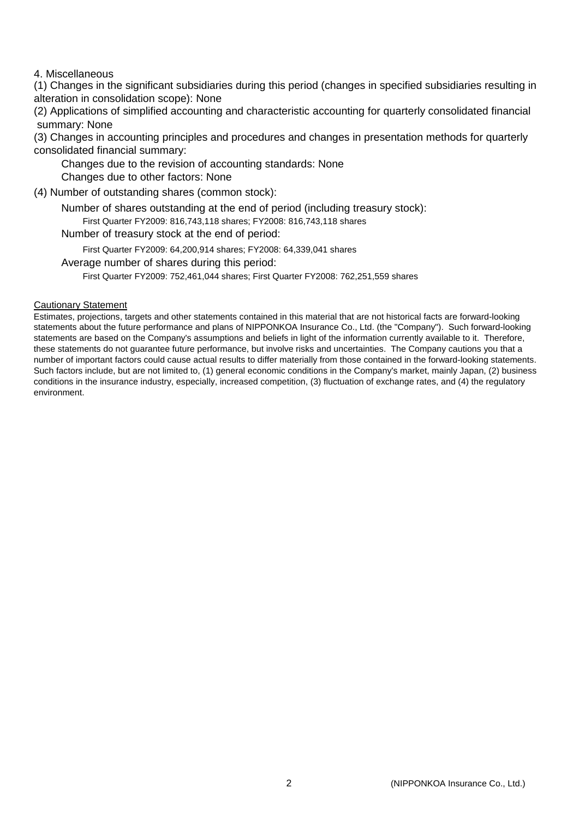## 4. Miscellaneous

(1) Changes in the significant subsidiaries during this period (changes in specified subsidiaries resulting in alteration in consolidation scope): None

(2) Applications of simplified accounting and characteristic accounting for quarterly consolidated financial summary: None

(3) Changes in accounting principles and procedures and changes in presentation methods for quarterly consolidated financial summary:

Changes due to the revision of accounting standards: None

Changes due to other factors: None

(4) Number of outstanding shares (common stock):

Number of shares outstanding at the end of period (including treasury stock):

First Quarter FY2009: 816,743,118 shares; FY2008: 816,743,118 shares

Number of treasury stock at the end of period:

First Quarter FY2009: 64,200,914 shares; FY2008: 64,339,041 shares

Average number of shares during this period:

First Quarter FY2009: 752,461,044 shares; First Quarter FY2008: 762,251,559 shares

#### Cautionary Statement

Estimates, projections, targets and other statements contained in this material that are not historical facts are forward-looking statements about the future performance and plans of NIPPONKOA Insurance Co., Ltd. (the "Company"). Such forward-looking statements are based on the Company's assumptions and beliefs in light of the information currently available to it. Therefore, these statements do not guarantee future performance, but involve risks and uncertainties. The Company cautions you that a number of important factors could cause actual results to differ materially from those contained in the forward-looking statements. Such factors include, but are not limited to, (1) general economic conditions in the Company's market, mainly Japan, (2) business conditions in the insurance industry, especially, increased competition, (3) fluctuation of exchange rates, and (4) the regulatory environment.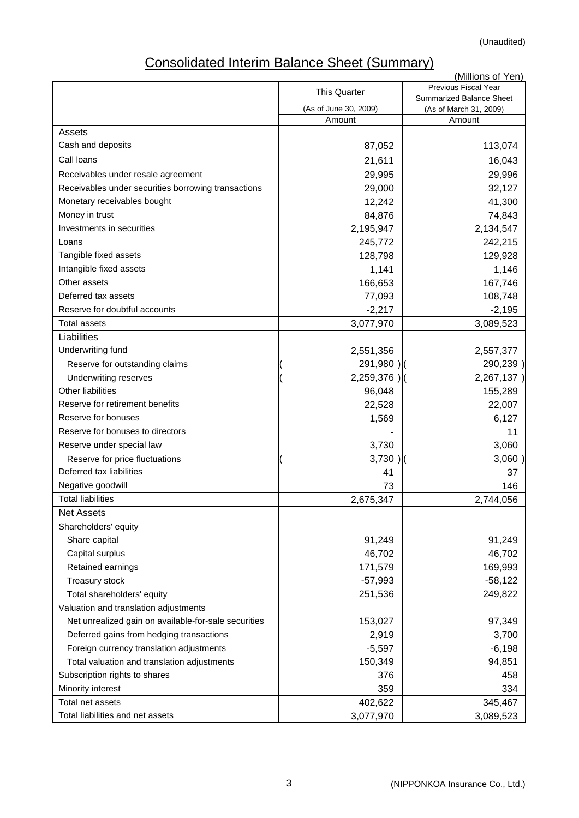(Unaudited)

# Consolidated Interim Balance Sheet (Summary)

|                                                      |                       | (Millions of Yen)                                  |
|------------------------------------------------------|-----------------------|----------------------------------------------------|
|                                                      | <b>This Quarter</b>   | Previous Fiscal Year                               |
|                                                      | (As of June 30, 2009) | Summarized Balance Sheet<br>(As of March 31, 2009) |
|                                                      | Amount                | Amount                                             |
| Assets                                               |                       |                                                    |
| Cash and deposits                                    | 87,052                | 113,074                                            |
| Call loans                                           | 21,611                | 16,043                                             |
| Receivables under resale agreement                   | 29,995                | 29,996                                             |
| Receivables under securities borrowing transactions  | 29,000                | 32,127                                             |
| Monetary receivables bought                          | 12,242                | 41,300                                             |
| Money in trust                                       | 84,876                | 74,843                                             |
| Investments in securities                            | 2,195,947             | 2,134,547                                          |
| Loans                                                | 245,772               | 242,215                                            |
| Tangible fixed assets                                | 128,798               | 129,928                                            |
| Intangible fixed assets                              | 1,141                 | 1,146                                              |
| Other assets                                         | 166,653               | 167,746                                            |
| Deferred tax assets                                  | 77,093                | 108,748                                            |
| Reserve for doubtful accounts                        | $-2,217$              | $-2,195$                                           |
| <b>Total assets</b>                                  | 3,077,970             | 3,089,523                                          |
| Liabilities                                          |                       |                                                    |
| Underwriting fund                                    | 2,551,356             | 2,557,377                                          |
| Reserve for outstanding claims                       | 291,980)              | 290,239)                                           |
| Underwriting reserves                                | $2,259,376$ )         | 2,267,137)                                         |
| <b>Other liabilities</b>                             | 96,048                | 155,289                                            |
| Reserve for retirement benefits                      | 22,528                | 22,007                                             |
| Reserve for bonuses                                  | 1,569                 | 6,127                                              |
| Reserve for bonuses to directors                     |                       | 11                                                 |
| Reserve under special law                            | 3,730                 | 3,060                                              |
| Reserve for price fluctuations                       | $3,730$ )             | 3,060)                                             |
| Deferred tax liabilities                             | 41                    | 37                                                 |
| Negative goodwill                                    | 73                    | 146                                                |
| <b>Total liabilities</b>                             | 2,675,347             | 2,744,056                                          |
| <b>Net Assets</b>                                    |                       |                                                    |
| Shareholders' equity                                 |                       |                                                    |
| Share capital                                        | 91,249                | 91,249                                             |
| Capital surplus                                      | 46,702                | 46,702                                             |
| Retained earnings                                    | 171,579               | 169,993                                            |
| Treasury stock                                       | $-57,993$             | $-58,122$                                          |
| Total shareholders' equity                           | 251,536               | 249,822                                            |
| Valuation and translation adjustments                |                       |                                                    |
| Net unrealized gain on available-for-sale securities | 153,027               | 97,349                                             |
| Deferred gains from hedging transactions             | 2,919                 | 3,700                                              |
| Foreign currency translation adjustments             | $-5,597$              | $-6,198$                                           |
| Total valuation and translation adjustments          | 150,349               | 94,851                                             |
| Subscription rights to shares                        | 376                   | 458                                                |
| Minority interest                                    | 359                   | 334                                                |
| Total net assets                                     | 402,622               | 345,467                                            |
| Total liabilities and net assets                     | 3,077,970             | 3,089,523                                          |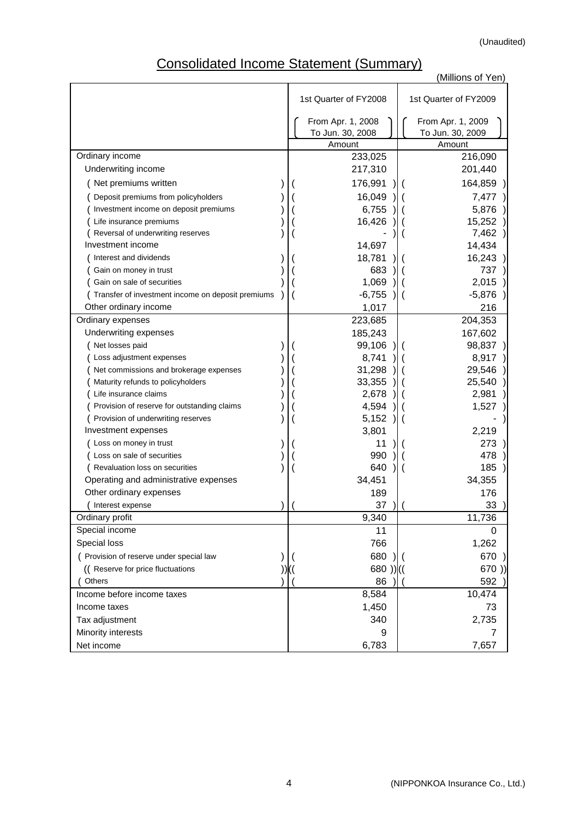# Consolidated Income Statement (Summary)

|                                                   |                       | (Millions of Yen)     |
|---------------------------------------------------|-----------------------|-----------------------|
|                                                   |                       |                       |
|                                                   | 1st Quarter of FY2008 | 1st Quarter of FY2009 |
|                                                   | From Apr. 1, 2008     | From Apr. 1, 2009     |
|                                                   | To Jun. 30, 2008      | To Jun. 30, 2009      |
|                                                   | Amount                | Amount                |
| Ordinary income                                   | 233,025               | 216,090               |
| Underwriting income                               | 217,310               | 201,440               |
| (Net premiums written                             | 176,991               | 164,859               |
| Deposit premiums from policyholders               | 16,049                | 7,477                 |
| Investment income on deposit premiums             | 6,755                 | 5,876                 |
| Life insurance premiums                           | 16,426                | 15,252                |
| Reversal of underwriting reserves                 |                       | 7,462                 |
| Investment income                                 | 14,697                | 14,434                |
| Interest and dividends                            | 18,781                | 16,243                |
| Gain on money in trust                            | 683                   | 737                   |
| Gain on sale of securities                        | 1,069                 | 2,015                 |
| Transfer of investment income on deposit premiums | $-6,755$              | $-5,876$              |
| Other ordinary income                             | 1,017                 | 216                   |
| Ordinary expenses                                 | 223,685               | 204,353               |
| Underwriting expenses                             | 185,243               | 167,602               |
| Net losses paid                                   | 99,106                | 98,837                |
| Loss adjustment expenses                          | 8,741                 | 8,917                 |
| Net commissions and brokerage expenses            | 31,298                | 29,546                |
| Maturity refunds to policyholders                 | 33,355                | 25,540                |
| Life insurance claims                             | 2,678                 | 2,981                 |
| Provision of reserve for outstanding claims       | 4,594                 | 1,527                 |
| Provision of underwriting reserves                | 5,152                 |                       |
| Investment expenses                               | 3,801                 | 2,219                 |
| Loss on money in trust                            | 11                    | 273                   |
| Loss on sale of securities                        | 990                   | 478                   |
| Revaluation loss on securities                    | 640                   | 185                   |
| Operating and administrative expenses             | 34,451                | 34,355                |
| Other ordinary expenses                           | 189                   | 176                   |
| (Interest expense                                 | 37)                   | 33                    |
| Ordinary profit                                   | 9,340                 | 11,736                |
| Special income                                    | 11                    | 0                     |
| Special loss                                      | 766                   | 1,262                 |
| ( Provision of reserve under special law          | 680                   | 670                   |
| ((Reserve for price fluctuations                  | $680$ )) $($          | 670)                  |
| Others                                            | 86                    | 592                   |
| Income before income taxes<br>Income taxes        | 8,584                 | 10,474                |
|                                                   | 1,450<br>340          | 73                    |
| Tax adjustment                                    |                       | 2,735                 |
| Minority interests                                | 9                     | 7                     |
| Net income                                        | 6,783                 | 7,657                 |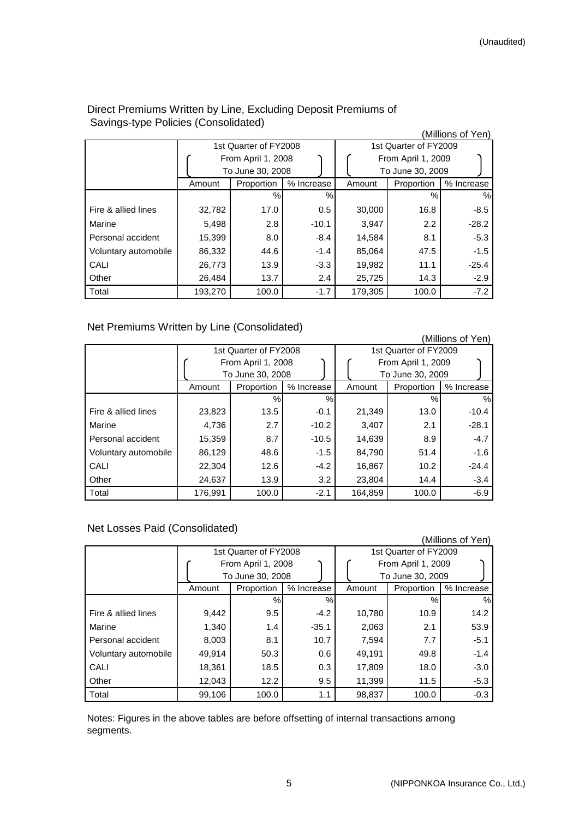| ັ<br>╯               |         |                       |            |         |                       | (Millions of Yen) |
|----------------------|---------|-----------------------|------------|---------|-----------------------|-------------------|
|                      |         | 1st Quarter of FY2008 |            |         | 1st Quarter of FY2009 |                   |
|                      |         | From April 1, 2008    |            |         | From April 1, 2009    |                   |
|                      |         | To June 30, 2008      |            |         | To June 30, 2009      |                   |
|                      | Amount  | Proportion            | % Increase | Amount  | Proportion            | % Increase        |
|                      |         | $\%$                  | %          |         | %                     | %                 |
| Fire & allied lines  | 32,782  | 17.0                  | 0.5        | 30,000  | 16.8                  | $-8.5$            |
| Marine               | 5,498   | 2.8                   | $-10.1$    | 3,947   | $2.2^{\circ}$         | $-28.2$           |
| Personal accident    | 15,399  | 8.0                   | $-8.4$     | 14,584  | 8.1                   | $-5.3$            |
| Voluntary automobile | 86,332  | 44.6                  | $-1.4$     | 85,064  | 47.5                  | $-1.5$            |
| CALI                 | 26,773  | 13.9                  | $-3.3$     | 19,982  | 11.1                  | $-25.4$           |
| Other                | 26,484  | 13.7                  | 2.4        | 25,725  | 14.3                  | $-2.9$            |
| Total                | 193,270 | 100.0                 | $-1.7$     | 179,305 | 100.0                 | $-7.2$            |

# Direct Premiums Written by Line, Excluding Deposit Premiums of Savings-type Policies (Consolidated)

# Net Premiums Written by Line (Consolidated)

|                      |         |                       |            |         |                       | (Millions of Yen) |  |
|----------------------|---------|-----------------------|------------|---------|-----------------------|-------------------|--|
|                      |         | 1st Quarter of FY2008 |            |         | 1st Quarter of FY2009 |                   |  |
|                      |         | From April 1, 2008    |            |         | From April 1, 2009    |                   |  |
|                      |         | To June 30, 2008      |            |         | To June 30, 2009      |                   |  |
|                      | Amount  | Proportion            | % Increase | Amount  | Proportion            | % Increase        |  |
|                      |         | %                     | %          |         | %                     | %                 |  |
| Fire & allied lines  | 23,823  | 13.5                  | $-0.1$     | 21,349  | 13.0                  | $-10.4$           |  |
| Marine               | 4,736   | 2.7                   | $-10.2$    | 3,407   | 2.1                   | $-28.1$           |  |
| Personal accident    | 15,359  | 8.7                   | $-10.5$    | 14,639  | 8.9                   | $-4.7$            |  |
| Voluntary automobile | 86,129  | 48.6                  | $-1.5$     | 84,790  | 51.4                  | $-1.6$            |  |
| CALI                 | 22,304  | 12.6                  | $-4.2$     | 16,867  | 10.2                  | $-24.4$           |  |
| Other                | 24,637  | 13.9                  | 3.2        | 23,804  | 14.4                  | $-3.4$            |  |
| Total                | 176,991 | 100.0                 | $-2.1$     | 164,859 | 100.0                 | $-6.9$            |  |

# Net Losses Paid (Consolidated)

|                      |        |                       |            |                       |                    | (Millions of Yen) |  |
|----------------------|--------|-----------------------|------------|-----------------------|--------------------|-------------------|--|
|                      |        | 1st Quarter of FY2008 |            | 1st Quarter of FY2009 |                    |                   |  |
|                      |        | From April 1, 2008    |            |                       | From April 1, 2009 |                   |  |
|                      |        | To June 30, 2008      |            |                       | To June 30, 2009   |                   |  |
|                      | Amount | Proportion            | % Increase | Amount                | Proportion         | % Increase        |  |
|                      |        | %                     | %          |                       | %                  | $\%$              |  |
| Fire & allied lines  | 9,442  | 9.5                   | $-4.2$     | 10,780                | 10.9               | 14.2              |  |
| Marine               | 1,340  | 1.4                   | $-35.1$    | 2,063                 | 2.1                | 53.9              |  |
| Personal accident    | 8,003  | 8.1                   | 10.7       | 7,594                 | 7.7                | $-5.1$            |  |
| Voluntary automobile | 49.914 | 50.3                  | 0.6        | 49,191                | 49.8               | $-1.4$            |  |
| CALI                 | 18,361 | 18.5                  | 0.3        | 17,809                | 18.0               | $-3.0$            |  |
| Other                | 12,043 | 12.2                  | 9.5        | 11,399                | 11.5               | $-5.3$            |  |
| Total                | 99,106 | 100.0                 | 1.1        | 98,837                | 100.0              | $-0.3$            |  |

Notes: Figures in the above tables are before offsetting of internal transactions among segments.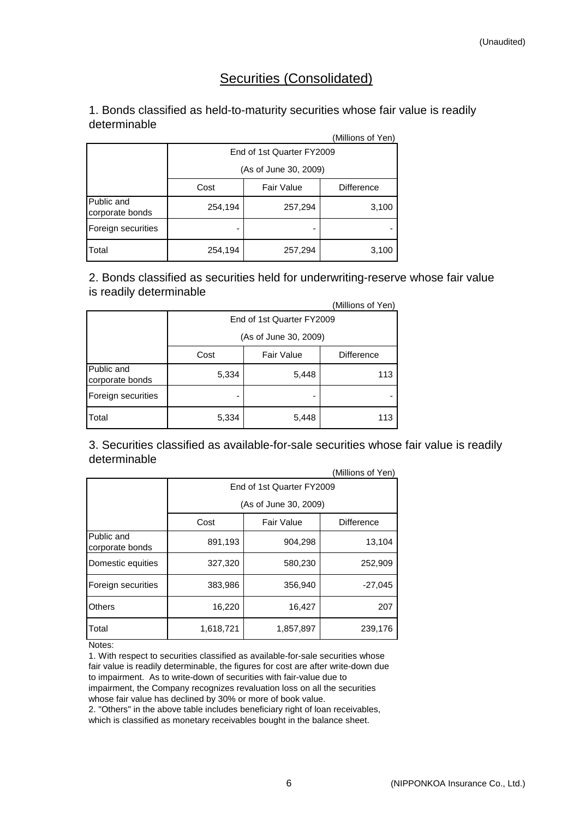# Securities (Consolidated)

# 1. Bonds classified as held-to-maturity securities whose fair value is readily determinable

|                               |                           |                   | (Millions of Yen) |  |  |  |
|-------------------------------|---------------------------|-------------------|-------------------|--|--|--|
|                               | End of 1st Quarter FY2009 |                   |                   |  |  |  |
|                               | (As of June 30, 2009)     |                   |                   |  |  |  |
|                               | Cost                      | <b>Fair Value</b> | <b>Difference</b> |  |  |  |
| Public and<br>corporate bonds | 254,194                   | 257,294           | 3,100             |  |  |  |
| Foreign securities            |                           |                   |                   |  |  |  |
| <b>T</b> otal                 | 254,194                   | 257,294           | 3,100             |  |  |  |

2. Bonds classified as securities held for underwriting-reserve whose fair value is readily determinable

|                               |                           |                   | (Millions of Yen) |  |  |  |
|-------------------------------|---------------------------|-------------------|-------------------|--|--|--|
|                               | End of 1st Quarter FY2009 |                   |                   |  |  |  |
|                               | (As of June 30, 2009)     |                   |                   |  |  |  |
|                               | Cost                      | <b>Fair Value</b> | <b>Difference</b> |  |  |  |
| Public and<br>corporate bonds | 5,334                     | 5,448             | 113               |  |  |  |
| Foreign securities            |                           |                   |                   |  |  |  |
| Total                         | 5,334                     | 5,448             | 113.              |  |  |  |

 $(0.4:0:$ 3. Securities classified as available-for-sale securities whose fair value is readily determinable

|                               |                           |                       | (Millions of Yen) |  |  |  |  |  |
|-------------------------------|---------------------------|-----------------------|-------------------|--|--|--|--|--|
|                               | End of 1st Quarter FY2009 |                       |                   |  |  |  |  |  |
|                               |                           | (As of June 30, 2009) |                   |  |  |  |  |  |
|                               | Cost                      | <b>Fair Value</b>     | <b>Difference</b> |  |  |  |  |  |
| Public and<br>corporate bonds | 891,193                   | 904,298               | 13,104            |  |  |  |  |  |
| Domestic equities             | 327,320                   | 580,230               | 252,909           |  |  |  |  |  |
| Foreign securities            | 383,986                   | 356,940               | $-27,045$         |  |  |  |  |  |
| <b>Others</b>                 | 16,220                    | 16,427                | 207               |  |  |  |  |  |
| Total                         | 1,618,721                 | 1,857,897             | 239,176           |  |  |  |  |  |

Notes:

1. With respect to securities classified as available-for-sale securities whose fair value is readily determinable, the figures for cost are after write-down due to impairment. As to write-down of securities with fair-value due to impairment, the Company recognizes revaluation loss on all the securities whose fair value has declined by 30% or more of book value.

2. "Others" in the above table includes beneficiary right of loan receivables, which is classified as monetary receivables bought in the balance sheet.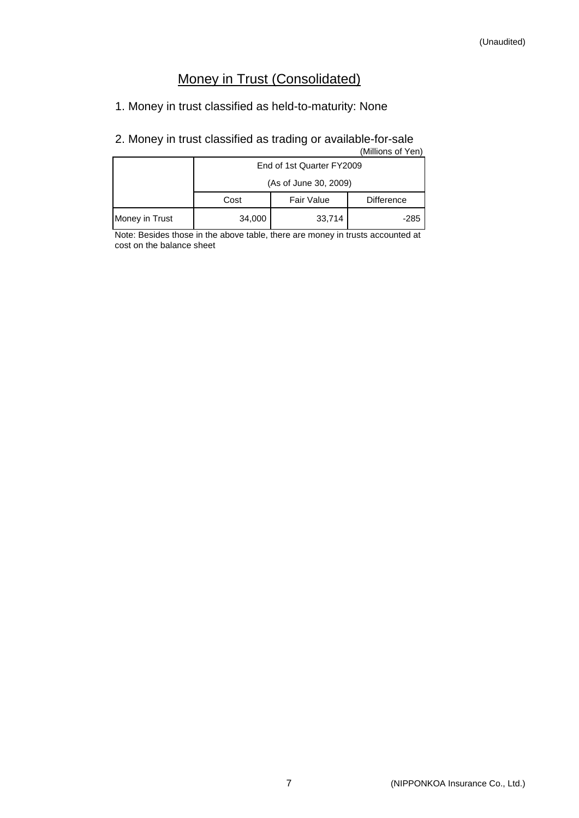# Money in Trust (Consolidated)

# 1. Money in trust classified as held-to-maturity: None

# 2. Money in trust classified as trading or available-for-sale

| (Millions of Yen) |                           |                   |                   |  |  |  |  |
|-------------------|---------------------------|-------------------|-------------------|--|--|--|--|
|                   | End of 1st Quarter FY2009 |                   |                   |  |  |  |  |
|                   | (As of June 30, 2009)     |                   |                   |  |  |  |  |
|                   | Cost                      | <b>Fair Value</b> | <b>Difference</b> |  |  |  |  |
| Money in Trust    | 34,000                    | 33,714            | $-285$            |  |  |  |  |

Note: Besides those in the above table, there are money in trusts accounted at cost on the balance sheet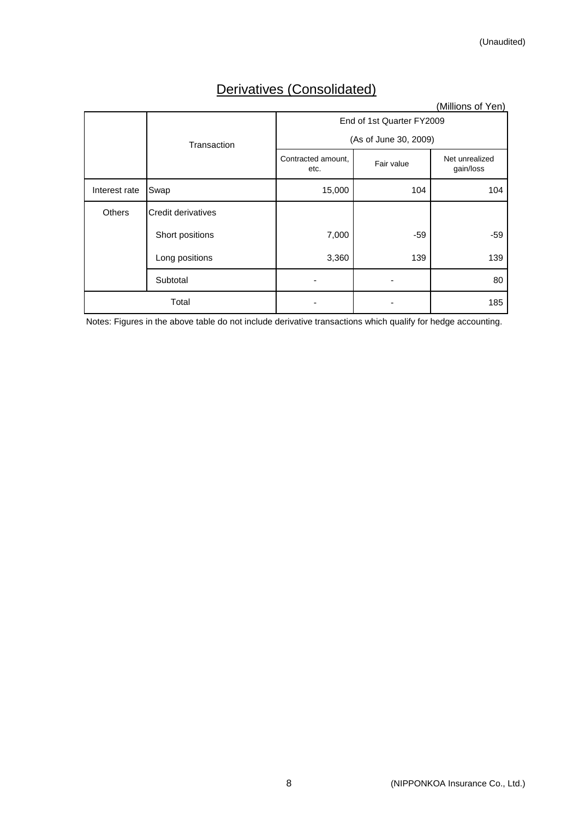# Derivatives (Consolidated)

|               |                    |                            |                       | (Millions of Yen)           |  |  |  |
|---------------|--------------------|----------------------------|-----------------------|-----------------------------|--|--|--|
|               |                    | End of 1st Quarter FY2009  |                       |                             |  |  |  |
|               | Transaction        |                            | (As of June 30, 2009) |                             |  |  |  |
|               |                    | Contracted amount,<br>etc. | Fair value            | Net unrealized<br>gain/loss |  |  |  |
| Interest rate | Swap               | 15,000                     | 104                   | 104                         |  |  |  |
| <b>Others</b> | Credit derivatives |                            |                       |                             |  |  |  |
|               | Short positions    | 7,000                      | -59                   | $-59$                       |  |  |  |
|               | Long positions     | 3,360                      | 139                   | 139                         |  |  |  |
|               | Subtotal           |                            |                       | 80                          |  |  |  |
|               | Total              |                            |                       | 185                         |  |  |  |

Notes: Figures in the above table do not include derivative transactions which qualify for hedge accounting.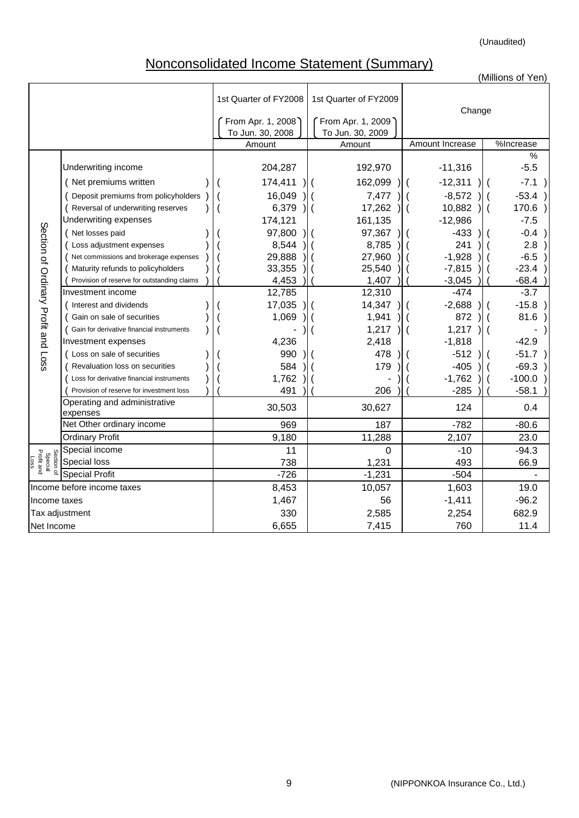(Unaudited)

# Nonconsolidated Income Statement (Summary)

|                                             |                                             |  |                                       |                                       |                         | (Millions of Yen)                       |
|---------------------------------------------|---------------------------------------------|--|---------------------------------------|---------------------------------------|-------------------------|-----------------------------------------|
|                                             |                                             |  | 1st Quarter of FY2008                 | 1st Quarter of FY2009                 | Change                  |                                         |
|                                             |                                             |  | From Apr. 1, 2008<br>To Jun. 30, 2008 | From Apr. 1, 2009<br>To Jun. 30, 2009 |                         |                                         |
|                                             |                                             |  | Amount                                | Amount                                | Amount Increase         | %Increase                               |
|                                             | Underwriting income                         |  | 204,287                               | 192,970                               | $-11,316$               | $\%$<br>$-5.5$                          |
|                                             | (Net premiums written                       |  | 174,411                               | 162,099                               | $-12,311$               | $-7.1$                                  |
|                                             | Deposit premiums from policyholders         |  | 16,049                                | 7,477                                 | $-8,572$                | $-53.4$                                 |
|                                             | ( Reversal of underwriting reserves         |  | 6,379                                 | 17,262                                | 10,882<br>l (           | 170.6<br>$\mathcal{H}$<br>$\mathcal{L}$ |
|                                             | Underwriting expenses                       |  | 174,121                               | 161,135                               | $-12,986$               | $-7.5$                                  |
| Section of Ordinary Profit and Loss         | (Net losses paid                            |  | 97,800                                | 97,367                                | $-433$                  | $-0.4$<br>$\lambda$                     |
|                                             | Loss adjustment expenses                    |  | 8,544                                 | 8,785                                 | 241                     | 2.8                                     |
|                                             | Net commissions and brokerage expenses      |  | 29,888                                | 27,960                                | $-1,928$                | $-6.5$                                  |
|                                             | Maturity refunds to policyholders           |  | 33,355                                | 25,540                                | $-7,815$                | $-23.4$                                 |
|                                             | Provision of reserve for outstanding claims |  | 4,453                                 | 1,407                                 | $-3,045$                | $-68.4$                                 |
|                                             | Investment income                           |  | 12,785                                | 12,310                                | $-474$                  | $-3.7$                                  |
|                                             | (Interest and dividends                     |  | 17,035                                | 14,347                                | $-2,688$                | $-15.8$                                 |
|                                             | Gain on sale of securities                  |  | 1,069                                 | 1,941                                 | 872                     | 81.6                                    |
|                                             | Gain for derivative financial instruments   |  |                                       | 1,217                                 | 1,217<br>$\overline{ }$ |                                         |
|                                             | Investment expenses                         |  | 4,236                                 | 2,418                                 | $-1,818$                | $-42.9$                                 |
|                                             | (Loss on sale of securities                 |  | 990                                   | 478                                   | $-512$                  | $-51.7$                                 |
|                                             | Revaluation loss on securities              |  | 584                                   | 179                                   | $-405$                  | $-69.3$                                 |
|                                             | Loss for derivative financial instruments   |  | 1,762                                 |                                       | $-1,762$                | $-100.0$                                |
|                                             | Provision of reserve for investment loss    |  | 491                                   | 206                                   | $-285$                  | $-58.1$                                 |
|                                             | Operating and administrative<br>expenses    |  | 30,503                                | 30,627                                | 124                     | 0.4                                     |
|                                             | Net Other ordinary income                   |  | 969                                   | 187                                   | $-782$                  | $-80.6$                                 |
|                                             | <b>Ordinary Profit</b>                      |  | 9,180                                 | 11,288                                | 2,107                   | 23.0                                    |
|                                             | Special income                              |  | 11                                    | $\Omega$                              | $-10$                   | $-94.3$                                 |
| Section of<br>Special<br>Profit and<br>Loss | <b>Special loss</b>                         |  | 738                                   | 1,231                                 | 493                     | 66.9                                    |
|                                             | <b>Special Profit</b>                       |  | $-726$                                | $-1,231$                              | $-504$                  |                                         |
|                                             | Income before income taxes                  |  | 8,453                                 | 10,057                                | 1,603                   | 19.0                                    |
| Income taxes                                |                                             |  | 1,467                                 | 56                                    | $-1,411$                | $-96.2$                                 |
|                                             | Tax adjustment                              |  | 330                                   | 2,585                                 | 2,254                   | 682.9                                   |
| Net Income                                  |                                             |  | 6,655                                 | 7,415                                 | 760                     | 11.4                                    |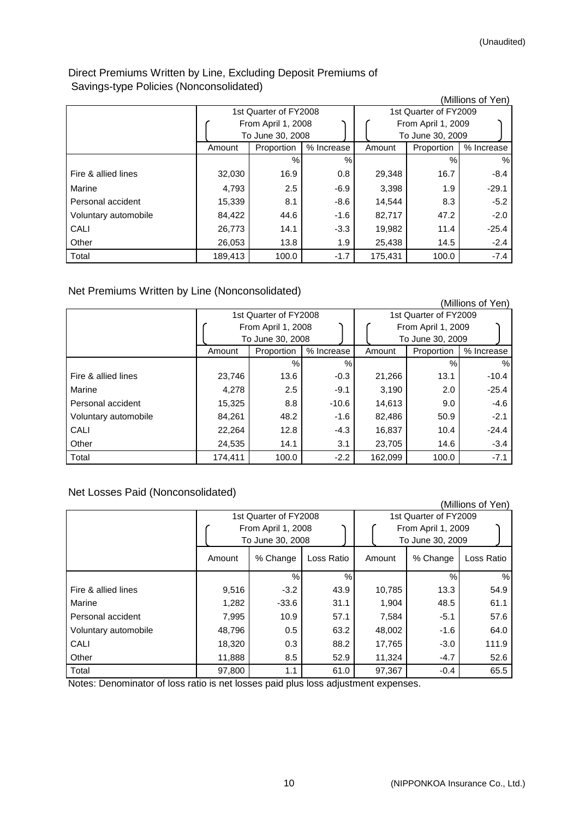# Direct Premiums Written by Line, Excluding Deposit Premiums of Savings-type Policies (Nonconsolidated)

|                      |         |                       |            |                       |                    | (Millions of Yen) |  |
|----------------------|---------|-----------------------|------------|-----------------------|--------------------|-------------------|--|
|                      |         | 1st Quarter of FY2008 |            | 1st Quarter of FY2009 |                    |                   |  |
|                      |         | From April 1, 2008    |            |                       | From April 1, 2009 |                   |  |
|                      |         | To June 30, 2008      |            |                       | To June 30, 2009   |                   |  |
|                      | Amount  | Proportion            | % Increase | Amount                | Proportion         | % Increase        |  |
|                      |         | $\%$                  | $\%$       |                       | %                  | $\%$              |  |
| Fire & allied lines  | 32,030  | 16.9                  | 0.8        | 29,348                | 16.7               | $-8.4$            |  |
| Marine               | 4,793   | 2.5                   | $-6.9$     | 3,398                 | 1.9                | $-29.1$           |  |
| Personal accident    | 15,339  | 8.1                   | $-8.6$     | 14,544                | 8.3                | $-5.2$            |  |
| Voluntary automobile | 84,422  | 44.6                  | $-1.6$     | 82,717                | 47.2               | $-2.0$            |  |
| CALI                 | 26,773  | 14.1                  | $-3.3$     | 19,982                | 11.4               | $-25.4$           |  |
| Other                | 26,053  | 13.8                  | 1.9        | 25,438                | 14.5               | $-2.4$            |  |
| Total                | 189,413 | 100.0                 | $-1.7$     | 175,431               | 100.0              | $-7.4$            |  |

Net Premiums Written by Line (Nonconsolidated)

|                      |         |                       |            |                       |                    | (Millions of Yen) |  |
|----------------------|---------|-----------------------|------------|-----------------------|--------------------|-------------------|--|
|                      |         | 1st Quarter of FY2008 |            | 1st Quarter of FY2009 |                    |                   |  |
|                      |         | From April 1, 2008    |            |                       | From April 1, 2009 |                   |  |
|                      |         | To June 30, 2008      |            |                       | To June 30, 2009   |                   |  |
|                      | Amount  | Proportion            | % Increase | Amount                | Proportion         | % Increase        |  |
|                      |         | $\%$                  | %          |                       | $\%$               | %                 |  |
| Fire & allied lines  | 23,746  | 13.6                  | $-0.3$     | 21,266                | 13.1               | $-10.4$           |  |
| Marine               | 4,278   | 2.5                   | $-9.1$     | 3,190                 | 2.0                | $-25.4$           |  |
| Personal accident    | 15,325  | 8.8                   | $-10.6$    | 14,613                | 9.0                | $-4.6$            |  |
| Voluntary automobile | 84,261  | 48.2                  | $-1.6$     | 82,486                | 50.9               | $-2.1$            |  |
| CALI                 | 22,264  | 12.8                  | $-4.3$     | 16,837                | 10.4               | $-24.4$           |  |
| Other                | 24,535  | 14.1                  | 3.1        | 23,705                | 14.6               | $-3.4$            |  |
| Total                | 174,411 | 100.0                 | $-2.2$     | 162,099               | 100.0              | $-7.1$            |  |

Net Losses Paid (Nonconsolidated)

|                      |        |                                             |               |                                             |                  | (Millions of Yen) |  |
|----------------------|--------|---------------------------------------------|---------------|---------------------------------------------|------------------|-------------------|--|
|                      |        | 1st Quarter of FY2008<br>From April 1, 2008 |               | 1st Quarter of FY2009<br>From April 1, 2009 |                  |                   |  |
|                      |        | To June 30, 2008                            |               |                                             | To June 30, 2009 |                   |  |
|                      | Amount | % Change                                    | Loss Ratio    | Amount                                      | % Change         | Loss Ratio        |  |
|                      |        | $\%$                                        | $\frac{0}{0}$ |                                             | $\%$             | %                 |  |
| Fire & allied lines  | 9,516  | $-3.2$                                      | 43.9          | 10,785                                      | 13.3             | 54.9              |  |
| Marine               | 1,282  | $-33.6$                                     | 31.1          | 1,904                                       | 48.5             | 61.1              |  |
| Personal accident    | 7,995  | 10.9                                        | 57.1          | 7,584                                       | $-5.1$           | 57.6              |  |
| Voluntary automobile | 48,796 | 0.5                                         | 63.2          | 48,002                                      | $-1.6$           | 64.0              |  |
| CALI                 | 18,320 | 0.3                                         | 88.2          | 17,765                                      | $-3.0$           | 111.9             |  |
| Other                | 11,888 | 8.5                                         | 52.9          | 11,324                                      | $-4.7$           | 52.6              |  |
| Total                | 97,800 | 1.1                                         | 61.0          | 97,367                                      | $-0.4$           | 65.5              |  |

Notes: Denominator of loss ratio is net losses paid plus loss adjustment expenses.